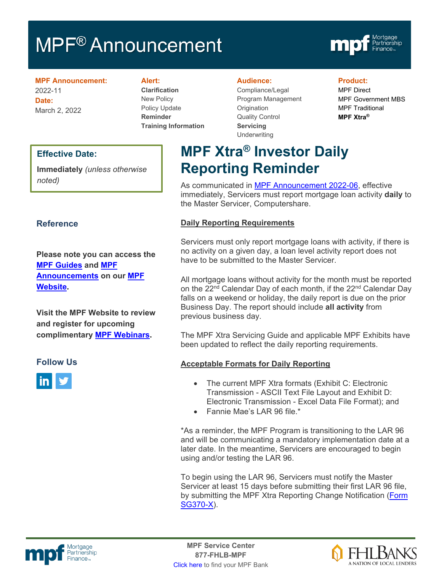# MPF<sup>®</sup> Announcement



**MPF Announcement:** 2022-11 **Date:** March 2, 2022

#### **Alert:**

**Clarification** New Policy Policy Update **Reminder Training Information**

#### **Audience:**

Compliance/Legal Program Management **Origination** Quality Control **Servicing Underwriting** 

**MPF Xtra® Investor Daily** 

#### **Product:**

MPF Direct MPF Government MBS MPF Traditional **MPF Xtra®**

#### **Effective Date:**

**Immediately** *(unless otherwise noted)*

### **Reference**

**Please note you can access the [MPF Guides](https://fhlbmpf.com/mpf-guides/guides) and [MPF](https://fhlbmpf.com/mpf-guides/announcements)  [Announcements](https://fhlbmpf.com/mpf-guides/announcements) on our [MPF](https://fhlbmpf.com/)  [Website.](https://fhlbmpf.com/)** 

**Visit the MPF Website to review and register for upcoming complimentary [MPF Webinars.](https://www.fhlbmpf.com/education/upcoming-webinars)**

#### **Follow Us**



**Reporting Reminder**  As communicated in **MPF Announcement 2022-06**, effective immediately, Servicers must report mortgage loan activity **daily** to

### **Daily Reporting Requirements**

the Master Servicer, Computershare.

Servicers must only report mortgage loans with activity, if there is no activity on a given day, a loan level activity report does not have to be submitted to the Master Servicer.

All mortgage loans without activity for the month must be reported on the 22<sup>nd</sup> Calendar Day of each month, if the 22<sup>nd</sup> Calendar Day falls on a weekend or holiday, the daily report is due on the prior Business Day. The report should include **all activity** from previous business day.

The MPF Xtra Servicing Guide and applicable MPF Exhibits have been updated to reflect the daily reporting requirements.

#### **Acceptable Formats for Daily Reporting**

- The current MPF Xtra formats (Exhibit C: Electronic Transmission - ASCII Text File Layout and Exhibit D: Electronic Transmission - Excel Data File Format); and
- Fannie Mae's LAR 96 file.\*

\*As a reminder, the MPF Program is transitioning to the LAR 96 and will be communicating a mandatory implementation date at a later date. In the meantime, Servicers are encouraged to begin using and/or testing the LAR 96.

To begin using the LAR 96, Servicers must notify the Master Servicer at least 15 days before submitting their first LAR 96 file, by submitting the MPF Xtra Reporting Change Notification (Form [SG370-X\)](https://www.fhlbmpf.com/docs/default-source/form-sg370-x-mpf-xtra-investor-reporting-change-request/form-sg370-x-mpf-xtra-investor-reporting-change-request.pdf?sfvrsn=6b6ebe28_2).